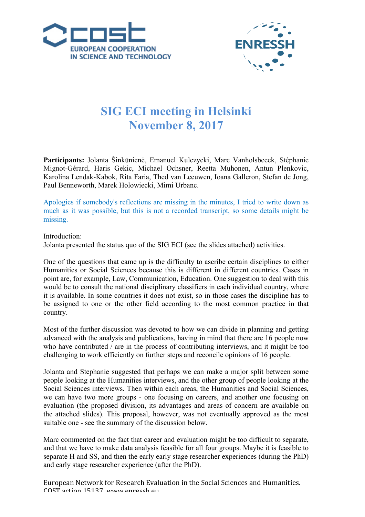



## **SIG ECI meeting in Helsinki November 8, 2017**

**Participants:** Jolanta Šinkūnienė, Emanuel Kulczycki, Marc Vanholsbeeck, Stéphanie Mignot-Gérard, Haris Gekic, Michael Ochsner, Reetta Muhonen, Antun Plenkovic, Karolina Lendak-Kabok, Rita Faria, Thed van Leeuwen, Ioana Galleron, Stefan de Jong, Paul Benneworth, Marek Holowiecki, Mimi Urbanc.

Apologies if somebody's reflections are missing in the minutes, I tried to write down as much as it was possible, but this is not a recorded transcript, so some details might be missing.

## Introduction:

Jolanta presented the status quo of the SIG ECI (see the slides attached) activities.

One of the questions that came up is the difficulty to ascribe certain disciplines to either Humanities or Social Sciences because this is different in different countries. Cases in point are, for example, Law, Communication, Education. One suggestion to deal with this would be to consult the national disciplinary classifiers in each individual country, where it is available. In some countries it does not exist, so in those cases the discipline has to be assigned to one or the other field according to the most common practice in that country.

Most of the further discussion was devoted to how we can divide in planning and getting advanced with the analysis and publications, having in mind that there are 16 people now who have contributed / are in the process of contributing interviews, and it might be too challenging to work efficiently on further steps and reconcile opinions of 16 people.

Jolanta and Stephanie suggested that perhaps we can make a major split between some people looking at the Humanities interviews, and the other group of people looking at the Social Sciences interviews. Then within each areas, the Humanities and Social Sciences, we can have two more groups - one focusing on careers, and another one focusing on evaluation (the proposed division, its advantages and areas of concern are available on the attached slides). This proposal, however, was not eventually approved as the most suitable one - see the summary of the discussion below.

Marc commented on the fact that career and evaluation might be too difficult to separate, and that we have to make data analysis feasible for all four groups. Maybe it is feasible to separate H and SS, and then the early early stage researcher experiences (during the PhD) and early stage researcher experience (after the PhD).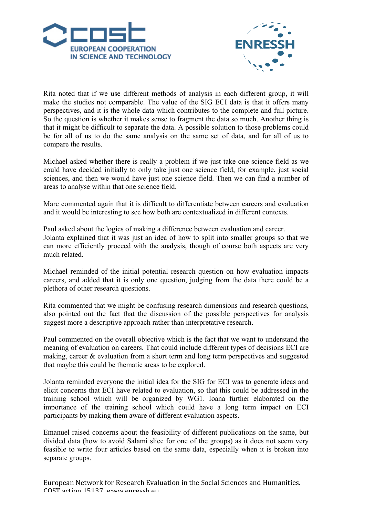



Rita noted that if we use different methods of analysis in each different group, it will make the studies not comparable. The value of the SIG ECI data is that it offers many perspectives, and it is the whole data which contributes to the complete and full picture. So the question is whether it makes sense to fragment the data so much. Another thing is that it might be difficult to separate the data. A possible solution to those problems could be for all of us to do the same analysis on the same set of data, and for all of us to compare the results.

Michael asked whether there is really a problem if we just take one science field as we could have decided initially to only take just one science field, for example, just social sciences, and then we would have just one science field. Then we can find a number of areas to analyse within that one science field.

Marc commented again that it is difficult to differentiate between careers and evaluation and it would be interesting to see how both are contextualized in different contexts.

Paul asked about the logics of making a difference between evaluation and career. Jolanta explained that it was just an idea of how to split into smaller groups so that we can more efficiently proceed with the analysis, though of course both aspects are very much related.

Michael reminded of the initial potential research question on how evaluation impacts careers, and added that it is only one question, judging from the data there could be a plethora of other research questions.

Rita commented that we might be confusing research dimensions and research questions, also pointed out the fact that the discussion of the possible perspectives for analysis suggest more a descriptive approach rather than interpretative research.

Paul commented on the overall objective which is the fact that we want to understand the meaning of evaluation on careers. That could include different types of decisions ECI are making, career  $\&$  evaluation from a short term and long term perspectives and suggested that maybe this could be thematic areas to be explored.

Jolanta reminded everyone the initial idea for the SIG for ECI was to generate ideas and elicit concerns that ECI have related to evaluation, so that this could be addressed in the training school which will be organized by WG1. Ioana further elaborated on the importance of the training school which could have a long term impact on ECI participants by making them aware of different evaluation aspects.

Emanuel raised concerns about the feasibility of different publications on the same, but divided data (how to avoid Salami slice for one of the groups) as it does not seem very feasible to write four articles based on the same data, especially when it is broken into separate groups.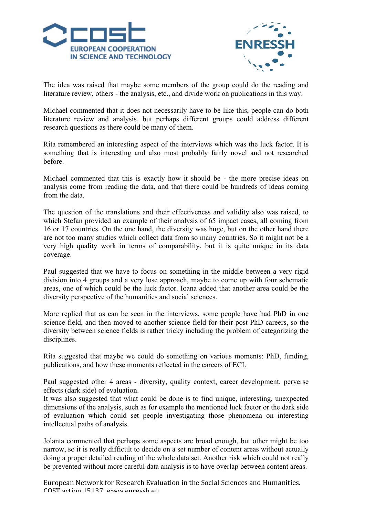



The idea was raised that maybe some members of the group could do the reading and literature review, others - the analysis, etc., and divide work on publications in this way.

Michael commented that it does not necessarily have to be like this, people can do both literature review and analysis, but perhaps different groups could address different research questions as there could be many of them.

Rita remembered an interesting aspect of the interviews which was the luck factor. It is something that is interesting and also most probably fairly novel and not researched before.

Michael commented that this is exactly how it should be - the more precise ideas on analysis come from reading the data, and that there could be hundreds of ideas coming from the data.

The question of the translations and their effectiveness and validity also was raised, to which Stefan provided an example of their analysis of 65 impact cases, all coming from 16 or 17 countries. On the one hand, the diversity was huge, but on the other hand there are not too many studies which collect data from so many countries. So it might not be a very high quality work in terms of comparability, but it is quite unique in its data coverage.

Paul suggested that we have to focus on something in the middle between a very rigid division into 4 groups and a very lose approach, maybe to come up with four schematic areas, one of which could be the luck factor. Ioana added that another area could be the diversity perspective of the humanities and social sciences.

Marc replied that as can be seen in the interviews, some people have had PhD in one science field, and then moved to another science field for their post PhD careers, so the diversity between science fields is rather tricky including the problem of categorizing the disciplines.

Rita suggested that maybe we could do something on various moments: PhD, funding, publications, and how these moments reflected in the careers of ECI.

Paul suggested other 4 areas - diversity, quality context, career development, perverse effects (dark side) of evaluation.

It was also suggested that what could be done is to find unique, interesting, unexpected dimensions of the analysis, such as for example the mentioned luck factor or the dark side of evaluation which could set people investigating those phenomena on interesting intellectual paths of analysis.

Jolanta commented that perhaps some aspects are broad enough, but other might be too narrow, so it is really difficult to decide on a set number of content areas without actually doing a proper detailed reading of the whole data set. Another risk which could not really be prevented without more careful data analysis is to have overlap between content areas.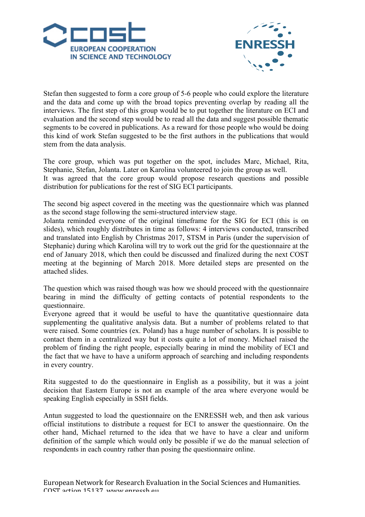



Stefan then suggested to form a core group of 5-6 people who could explore the literature and the data and come up with the broad topics preventing overlap by reading all the interviews. The first step of this group would be to put together the literature on ECI and evaluation and the second step would be to read all the data and suggest possible thematic segments to be covered in publications. As a reward for those people who would be doing this kind of work Stefan suggested to be the first authors in the publications that would stem from the data analysis.

The core group, which was put together on the spot, includes Marc, Michael, Rita, Stephanie, Stefan, Jolanta. Later on Karolina volunteered to join the group as well. It was agreed that the core group would propose research questions and possible distribution for publications for the rest of SIG ECI participants.

The second big aspect covered in the meeting was the questionnaire which was planned as the second stage following the semi-structured interview stage.

Jolanta reminded everyone of the original timeframe for the SIG for ECI (this is on slides), which roughly distributes in time as follows: 4 interviews conducted, transcribed and translated into English by Christmas 2017, STSM in Paris (under the supervision of Stephanie) during which Karolina will try to work out the grid for the questionnaire at the end of January 2018, which then could be discussed and finalized during the next COST meeting at the beginning of March 2018. More detailed steps are presented on the attached slides.

The question which was raised though was how we should proceed with the questionnaire bearing in mind the difficulty of getting contacts of potential respondents to the questionnaire.

Everyone agreed that it would be useful to have the quantitative questionnaire data supplementing the qualitative analysis data. But a number of problems related to that were raised. Some countries (ex. Poland) has a huge number of scholars. It is possible to contact them in a centralized way but it costs quite a lot of money. Michael raised the problem of finding the right people, especially bearing in mind the mobility of ECI and the fact that we have to have a uniform approach of searching and including respondents in every country.

Rita suggested to do the questionnaire in English as a possibility, but it was a joint decision that Eastern Europe is not an example of the area where everyone would be speaking English especially in SSH fields.

Antun suggested to load the questionnaire on the ENRESSH web, and then ask various official institutions to distribute a request for ECI to answer the questionnaire. On the other hand, Michael returned to the idea that we have to have a clear and uniform definition of the sample which would only be possible if we do the manual selection of respondents in each country rather than posing the questionnaire online.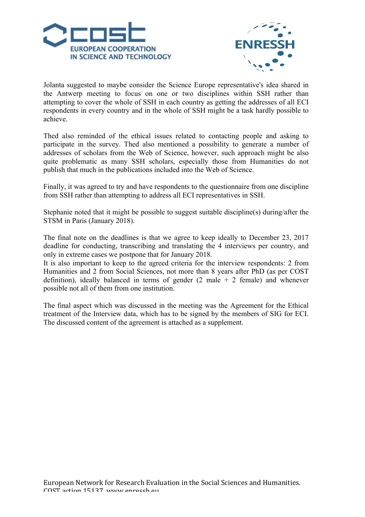



Jolanta suggested to maybe consider the Science Europe representative's idea shared in the Antwerp meeting to focus on one or two disciplines within SSH rather than attempting to cover the whole of SSH in each country as getting the addresses of all ECI respondents in every country and in the whole of SSH might be a task hardly possible to achieve.

Thed also reminded of the ethical issues related to contacting people and asking to participate in the survey. Thed also mentioned a possibility to generate a number of addresses of scholars from the Web of Science, however, such approach might be also quite problematic as many SSH scholars, especially those from Humanities do not publish that much in the publications included into the Web of Science.

Finally, it was agreed to try and have respondents to the questionnaire from one discipline from SSH rather than attempting to address all ECI representatives in SSH.

Stephanie noted that it might be possible to suggest suitable discipline(s) during/after the STSM in Paris (January 2018).

The final note on the deadlines is that we agree to keep ideally to December 23, 2017 deadline for conducting, transcribing and translating the 4 interviews per country, and only in extreme cases we postpone that for January 2018.

It is also important to keep to the agreed criteria for the interview respondents: 2 from Humanities and 2 from Social Sciences, not more than 8 years after PhD (as per COST definition), ideally balanced in terms of gender  $(2 \text{ male } + 2 \text{ female})$  and whenever possible not all of them from one institution.

The final aspect which was discussed in the meeting was the Agreement for the Ethical treatment of the Interview data, which has to be signed by the members of SIG for ECI. The discussed content of the agreement is attached as a supplement.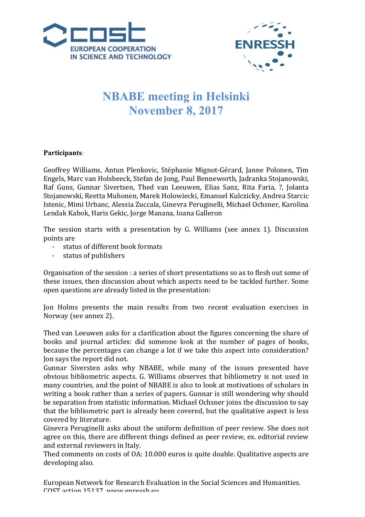



## **NBABE meeting in Helsinki November 8, 2017**

## **Participants**:

Geoffrey Williams, Antun Plenkovic, Stéphanie Mignot-Gérard, Janne Polonen, Tim Engels, Marc van Holsbeeck, Stefan de Jong, Paul Benneworth, Jadranka Stojanowski, Raf Guns, Gunnar Sivertsen, Thed van Leeuwen, Elias Sanz, Rita Faria, ?, Jolanta Stojanowski, Reetta Muhonen, Marek Holowiecki, Emanuel Kulczicky, Andrea Starcic Istenic, Mimi Urbanc, Alessia Zuccala, Ginevra Peruginelli, Michael Ochsner, Karolina Lendak Kabok, Haris Gekic, Jorge Manana, Ioana Galleron

The session starts with a presentation by G. Williams (see annex 1). Discussion points are

- status of different hook formats
- status of publishers

Organisation of the session : a series of short presentations so as to flesh out some of these issues, then discussion about which aspects need to be tackled further. Some open questions are already listed in the presentation:

Jon Holms presents the main results from two recent evaluation exercises in Norway (see annex 2).

Thed van Leeuwen asks for a clarification about the figures concerning the share of books and journal articles: did someone look at the number of pages of books, because the percentages can change a lot if we take this aspect into consideration? Jon says the report did not.

Gunnar Siversten asks why NBABE, while many of the issues presented have obvious bibliometric aspects. G. Williams observes that bibliometry is not used in many countries, and the point of NBABE is also to look at motivations of scholars in writing a book rather than a series of papers. Gunnar is still wondering why should be separation from statistic information. Michael Ochsner joins the discussion to say that the bibliometric part is already been covered, but the qualitative aspect is less covered by literature.

Ginevra Peruginelli asks about the uniform definition of peer review. She does not agree on this, there are different things defined as peer review, ex. editorial review and external reviewers in Italy.

Thed comments on costs of OA: 10.000 euros is quite doable. Qualitative aspects are developing also.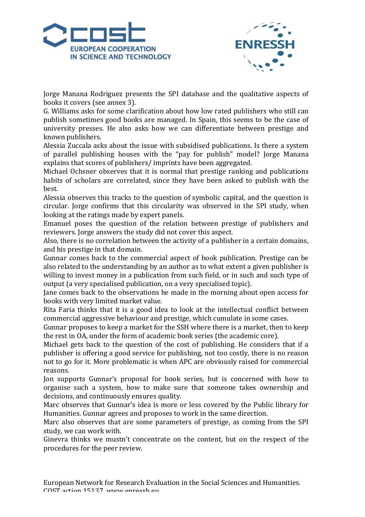



Jorge Manana Rodriguez presents the SPI database and the qualitative aspects of books it covers (see annex 3).

G. Williams asks for some clarification about how low rated publishers who still can publish sometimes good books are managed. In Spain, this seems to be the case of university presses. He also asks how we can differentiate between prestige and known publishers.

Alessia Zuccala asks about the issue with subsidised publications. Is there a system of parallel publishing houses with the "pay for publish" model? Jorge Manana explains that scores of publishers/ imprints have been aggregated.

Michael Ochsner observes that it is normal that prestige ranking and publications habits of scholars are correlated, since they have been asked to publish with the best.

Alessia observes this tracks to the question of symbolic capital, and the question is circular. Jorge confirms that this circularity was observed in the SPI study, when looking at the ratings made by expert panels.

Emanuel poses the question of the relation between prestige of publishers and reviewers. Jorge answers the study did not cover this aspect.

Also, there is no correlation between the activity of a publisher in a certain domains, and his prestige in that domain.

Gunnar comes back to the commercial aspect of book publication. Prestige can be also related to the understanding by an author as to what extent a given publisher is willing to invest money in a publication from such field, or in such and such type of output (a very specialised publication, on a very specialised topic).

Jane comes back to the observations he made in the morning about open access for books with very limited market value.

Rita Faria thinks that it is a good idea to look at the intellectual conflict between commercial aggressive behaviour and prestige, which cumulate in some cases.

Gunnar proposes to keep a market for the SSH where there is a market, then to keep the rest in OA, under the form of academic book series (the academic core).

Michael gets back to the question of the cost of publishing. He considers that if a publisher is offering a good service for publishing, not too costly, there is no reason not to go for it. More problematic is when APC are obviously raised for commercial reasons.

Jon supports Gunnar's proposal for book series, but is concerned with how to organise such a system, how to make sure that someone takes ownership and decisions, and continuously ensures quality.

Marc observes that Gunnar's idea is more or less covered by the Public library for Humanities. Gunnar agrees and proposes to work in the same direction.

Marc also observes that are some parameters of prestige, as coming from the SPI study, we can work with.

Ginevra thinks we mustn't concentrate on the content, but on the respect of the procedures for the peer review.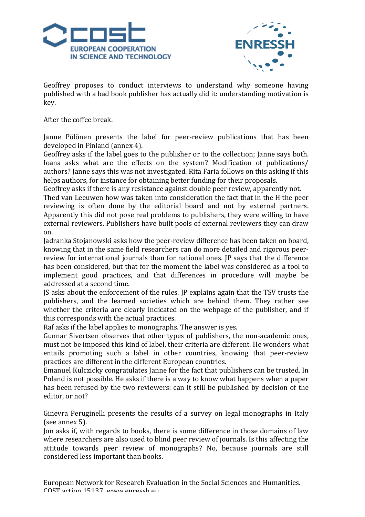



Geoffrey proposes to conduct interviews to understand why someone having published with a bad book publisher has actually did it: understanding motivation is key.

After the coffee break.

Janne Pölönen presents the label for peer-review publications that has been developed in Finland (annex 4).

Geoffrey asks if the label goes to the publisher or to the collection; Janne says both. Ioana asks what are the effects on the system? Modification of publications/ authors? Janne says this was not investigated. Rita Faria follows on this asking if this helps authors, for instance for obtaining better funding for their proposals.

Geoffrey asks if there is any resistance against double peer review, apparently not.

Thed van Leeuwen how was taken into consideration the fact that in the H the peer reviewing is often done by the editorial board and not by external partners. Apparently this did not pose real problems to publishers, they were willing to have external reviewers. Publishers have built pools of external reviewers they can draw on.

Jadranka Stojanowski asks how the peer-review difference has been taken on board, knowing that in the same field researchers can do more detailed and rigorous peerreview for international journals than for national ones. IP says that the difference has been considered, but that for the moment the label was considered as a tool to implement good practices, and that differences in procedure will maybe be addressed at a second time.

IS asks about the enforcement of the rules. IP explains again that the TSV trusts the publishers, and the learned societies which are behind them. They rather see whether the criteria are clearly indicated on the webpage of the publisher, and if this corresponds with the actual practices.

Raf asks if the label applies to monographs. The answer is yes.

Gunnar Sivertsen observes that other types of publishers, the non-academic ones, must not be imposed this kind of label, their criteria are different. He wonders what entails promoting such a label in other countries, knowing that peer-review practices are different in the different European countries.

Emanuel Kulczicky congratulates Janne for the fact that publishers can be trusted. In Poland is not possible. He asks if there is a way to know what happens when a paper has been refused by the two reviewers: can it still be published by decision of the editor, or not?

Ginevra Peruginelli presents the results of a survey on legal monographs in Italy (see annex 5).

Ion asks if, with regards to books, there is some difference in those domains of law where researchers are also used to blind peer review of journals. Is this affecting the attitude towards peer review of monographs? No, because journals are still considered less important than books.